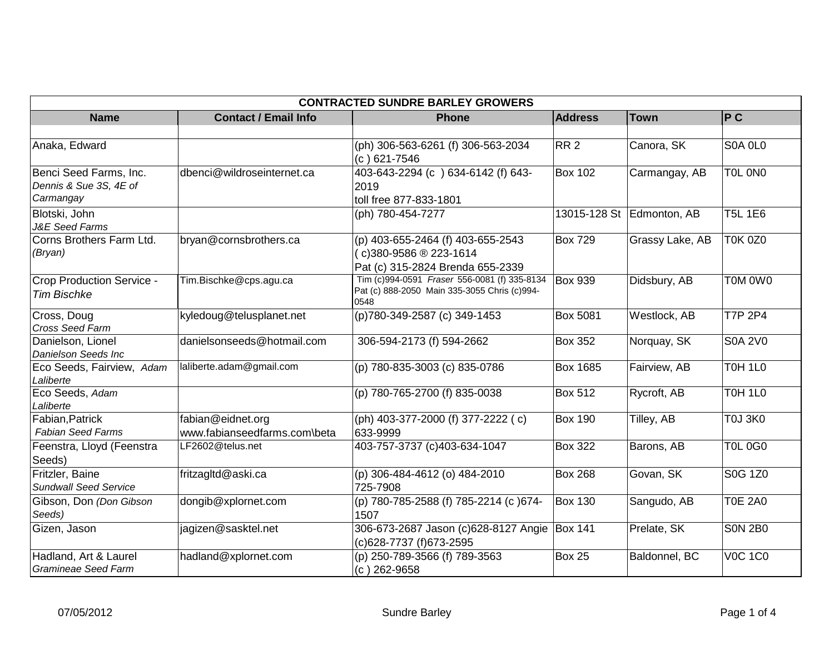| <b>CONTRACTED SUNDRE BARLEY GROWERS</b>                       |                                                   |                                                                                                      |                 |                           |                |  |
|---------------------------------------------------------------|---------------------------------------------------|------------------------------------------------------------------------------------------------------|-----------------|---------------------------|----------------|--|
| <b>Name</b>                                                   | <b>Contact / Email Info</b>                       | <b>Phone</b>                                                                                         | <b>Address</b>  | <b>Town</b>               | P C            |  |
|                                                               |                                                   |                                                                                                      |                 |                           |                |  |
| Anaka, Edward                                                 |                                                   | (ph) 306-563-6261 (f) 306-563-2034<br>$(c) 621 - 7546$                                               | RR2             | Canora, SK                | S0A OLO        |  |
| Benci Seed Farms, Inc.<br>Dennis & Sue 3S, 4E of<br>Carmangay | dbenci@wildroseinternet.ca                        | 403-643-2294 (c) 634-6142 (f) 643-<br>2019<br>toll free 877-833-1801                                 | <b>Box 102</b>  | Carmangay, AB             | TOL ONO        |  |
| Blotski, John<br><b>J&amp;E</b> Seed Farms                    |                                                   | (ph) 780-454-7277                                                                                    |                 | 13015-128 St Edmonton, AB | <b>T5L 1E6</b> |  |
| Corns Brothers Farm Ltd.<br>(Bryan)                           | bryan@cornsbrothers.ca                            | (p) 403-655-2464 (f) 403-655-2543<br>(c)380-9586 ® 223-1614<br>Pat (c) 315-2824 Brenda 655-2339      | <b>Box 729</b>  | Grassy Lake, AB           | <b>T0K 0Z0</b> |  |
| Crop Production Service -<br><b>Tim Bischke</b>               | Tim.Bischke@cps.agu.ca                            | Tim (c)994-0591 Fraser 556-0081 (f) 335-8134<br>Pat (c) 888-2050 Main 335-3055 Chris (c)994-<br>0548 | <b>Box 939</b>  | Didsbury, AB              | TOM OWO        |  |
| Cross, Doug<br><b>Cross Seed Farm</b>                         | kyledoug@telusplanet.net                          | (p)780-349-2587 (c) 349-1453                                                                         | <b>Box 5081</b> | Westlock, AB              | <b>T7P 2P4</b> |  |
| Danielson, Lionel<br><b>Danielson Seeds Inc</b>               | danielsonseeds@hotmail.com                        | 306-594-2173 (f) 594-2662                                                                            | <b>Box 352</b>  | Norquay, SK               | <b>S0A 2V0</b> |  |
| Eco Seeds, Fairview, Adam<br>Laliberte                        | laliberte.adam@gmail.com                          | (p) 780-835-3003 (c) 835-0786                                                                        | <b>Box 1685</b> | Fairview, AB              | T0H 1L0        |  |
| Eco Seeds, Adam<br>Laliberte                                  |                                                   | (p) 780-765-2700 (f) 835-0038                                                                        | <b>Box 512</b>  | Rycroft, AB               | T0H 1L0        |  |
| Fabian, Patrick<br><b>Fabian Seed Farms</b>                   | fabian@eidnet.org<br>www.fabianseedfarms.com\beta | (ph) 403-377-2000 (f) 377-2222 (c)<br>633-9999                                                       | <b>Box 190</b>  | Tilley, AB                | <b>T0J 3K0</b> |  |
| Feenstra, Lloyd (Feenstra<br>Seeds)                           | LF2602@telus.net                                  | 403-757-3737 (c)403-634-1047                                                                         | <b>Box 322</b>  | Barons, AB                | <b>T0L 0G0</b> |  |
| Fritzler, Baine<br><b>Sundwall Seed Service</b>               | fritzagltd@aski.ca                                | (p) 306-484-4612 (o) 484-2010<br>725-7908                                                            | <b>Box 268</b>  | Govan, SK                 | S0G 1Z0        |  |
| Gibson, Don (Don Gibson<br>Seeds)                             | dongib@xplornet.com                               | (p) 780-785-2588 (f) 785-2214 (c) 674-<br>1507                                                       | <b>Box 130</b>  | Sangudo, AB               | <b>T0E 2A0</b> |  |
| Gizen, Jason                                                  | jagizen@sasktel.net                               | 306-673-2687 Jason (c)628-8127 Angie<br>(c)628-7737 (f)673-2595                                      | <b>Box 141</b>  | Prelate, SK               | <b>S0N 2B0</b> |  |
| Hadland, Art & Laurel<br><b>Gramineae Seed Farm</b>           | hadland@xplornet.com                              | (p) 250-789-3566 (f) 789-3563<br>$(c)$ 262-9658                                                      | Box 25          | Baldonnel, BC             | <b>V0C 1C0</b> |  |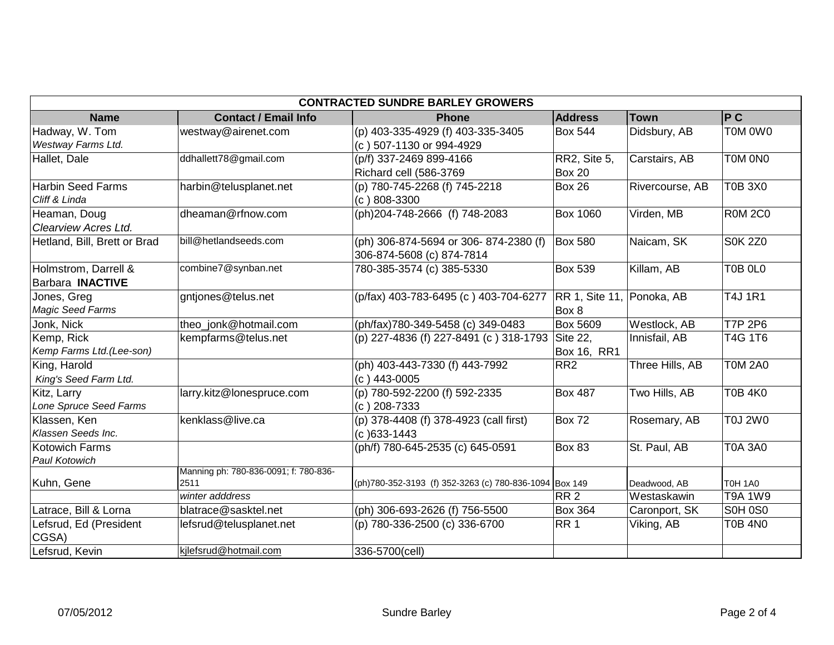| <b>CONTRACTED SUNDRE BARLEY GROWERS</b> |                                               |                                                        |                    |                             |                |  |
|-----------------------------------------|-----------------------------------------------|--------------------------------------------------------|--------------------|-----------------------------|----------------|--|
| <b>Name</b>                             | <b>Contact / Email Info</b>                   | <b>Phone</b>                                           | <b>Address</b>     | <b>Town</b>                 | P C            |  |
| Hadway, W. Tom                          | westway@airenet.com                           | (p) 403-335-4929 (f) 403-335-3405                      | <b>Box 544</b>     | Didsbury, AB                | T0M 0W0        |  |
| Westway Farms Ltd.                      |                                               | (c) 507-1130 or 994-4929                               |                    |                             |                |  |
| Hallet, Dale                            | ddhallett78@gmail.com                         | (p/f) 337-2469 899-4166                                | RR2, Site 5,       | Carstairs, AB               | T0M 0N0        |  |
|                                         |                                               | Richard cell (586-3769                                 | <b>Box 20</b>      |                             |                |  |
| <b>Harbin Seed Farms</b>                | harbin@telusplanet.net                        | (p) 780-745-2268 (f) 745-2218                          | <b>Box 26</b>      | Rivercourse, AB             | <b>T0B 3X0</b> |  |
| Cliff & Linda                           |                                               | $(c) 808 - 3300$                                       |                    |                             |                |  |
| Heaman, Doug                            | dheaman@rfnow.com                             | (ph)204-748-2666 (f) 748-2083                          | <b>Box 1060</b>    | Virden, MB                  | <b>R0M 2C0</b> |  |
| Clearview Acres Ltd.                    |                                               |                                                        |                    |                             |                |  |
| Hetland, Bill, Brett or Brad            | bill@hetlandseeds.com                         | (ph) 306-874-5694 or 306-874-2380 (f)                  | <b>Box 580</b>     | Naicam, SK                  | <b>S0K 2Z0</b> |  |
|                                         |                                               | 306-874-5608 (c) 874-7814                              |                    |                             |                |  |
| Holmstrom, Darrell &                    | combine7@synban.net                           | 780-385-3574 (c) 385-5330                              | <b>Box 539</b>     | Killam, AB                  | T0B 0L0        |  |
| <b>Barbara INACTIVE</b>                 |                                               |                                                        |                    |                             |                |  |
| Jones, Greg                             | gntjones@telus.net                            | (p/fax) 403-783-6495 (c) 403-704-6277                  | RR 1, Site 11,     | Ponoka, AB                  | <b>T4J 1R1</b> |  |
| <b>Magic Seed Farms</b>                 |                                               |                                                        | Box 8              |                             |                |  |
| Jonk, Nick                              | theo_jonk@hotmail.com                         | (ph/fax)780-349-5458 (c) 349-0483                      | <b>Box 5609</b>    | Westlock, AB                | <b>T7P 2P6</b> |  |
| Kemp, Rick                              | kempfarms@telus.net                           | (p) 227-4836 (f) 227-8491 (c) 318-1793                 | Site 22,           | Innisfail, AB               | T4G 1T6        |  |
| Kemp Farms Ltd.(Lee-son)                |                                               |                                                        | <b>Box 16, RR1</b> |                             |                |  |
| King, Harold                            |                                               | (ph) 403-443-7330 (f) 443-7992                         | RR <sub>2</sub>    | Three Hills, AB             | <b>T0M 2A0</b> |  |
| King's Seed Farm Ltd.                   |                                               | $(c)$ 443-0005                                         |                    |                             |                |  |
| Kitz, Larry                             | larry.kitz@lonespruce.com                     | (p) 780-592-2200 (f) 592-2335                          | <b>Box 487</b>     | Two Hills, AB               | <b>T0B 4K0</b> |  |
| Lone Spruce Seed Farms                  |                                               | (c) 208-7333                                           |                    |                             |                |  |
| Klassen, Ken                            | kenklass@live.ca                              | (p) 378-4408 (f) 378-4923 (call first)                 | <b>Box 72</b>      | Rosemary, AB                | <b>T0J 2W0</b> |  |
| Klassen Seeds Inc.                      |                                               | $(c)$ 633-1443                                         |                    |                             |                |  |
| <b>Kotowich Farms</b>                   |                                               | (ph/f) 780-645-2535 (c) 645-0591                       | Box 83             | St. Paul, AB                | <b>T0A 3A0</b> |  |
| Paul Kotowich                           |                                               |                                                        |                    |                             |                |  |
| Kuhn, Gene                              | Manning ph: 780-836-0091; f: 780-836-<br>2511 |                                                        |                    |                             | <b>T0H 1A0</b> |  |
|                                         | winter adddress                               | (ph)780-352-3193 (f) 352-3263 (c) 780-836-1094 Box 149 | RR <sub>2</sub>    | Deadwood, AB<br>Westaskawin | <b>T9A 1W9</b> |  |
|                                         | blatrace@sasktel.net                          |                                                        | <b>Box 364</b>     |                             | S0H 0S0        |  |
| Latrace, Bill & Lorna                   |                                               | (ph) 306-693-2626 (f) 756-5500                         | RR <sub>1</sub>    | Caronport, SK               |                |  |
| Lefsrud, Ed (President<br>CGSA)         | lefsrud@telusplanet.net                       | (p) 780-336-2500 (c) 336-6700                          |                    | Viking, AB                  | <b>T0B 4N0</b> |  |
| Lefsrud, Kevin                          | kjlefsrud@hotmail.com                         | 336-5700(cell)                                         |                    |                             |                |  |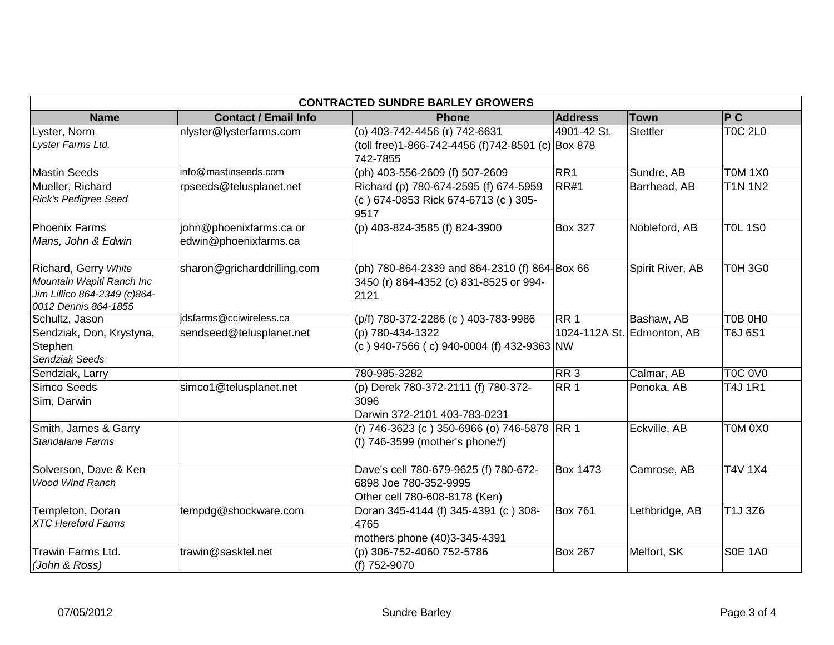| <b>CONTRACTED SUNDRE BARLEY GROWERS</b>                                                                   |                                                  |                                                                                                 |                 |                            |                |  |
|-----------------------------------------------------------------------------------------------------------|--------------------------------------------------|-------------------------------------------------------------------------------------------------|-----------------|----------------------------|----------------|--|
| <b>Name</b>                                                                                               | <b>Contact / Email Info</b>                      | <b>Phone</b>                                                                                    | <b>Address</b>  | <b>Town</b>                | P C            |  |
| Lyster, Norm<br>Lyster Farms Ltd.                                                                         | nlyster@lysterfarms.com                          | (o) 403-742-4456 (r) 742-6631<br>(toll free)1-866-742-4456 (f)742-8591 (c) Box 878              | 4901-42 St.     | Stettler                   | <b>T0C 2L0</b> |  |
|                                                                                                           |                                                  | 742-7855                                                                                        |                 |                            |                |  |
| <b>Mastin Seeds</b>                                                                                       | info@mastinseeds.com                             | (ph) 403-556-2609 (f) 507-2609                                                                  | RR <sub>1</sub> | Sundre, AB                 | <b>T0M 1X0</b> |  |
| Mueller, Richard<br><b>Rick's Pedigree Seed</b>                                                           | rpseeds@telusplanet.net                          | Richard (p) 780-674-2595 (f) 674-5959<br>(c) 674-0853 Rick 674-6713 (c) 305-<br>9517            | <b>RR#1</b>     | Barrhead, AB               | <b>T1N 1N2</b> |  |
| Phoenix Farms<br>Mans, John & Edwin                                                                       | john@phoenixfarms.ca or<br>edwin@phoenixfarms.ca | (p) 403-824-3585 (f) 824-3900                                                                   | <b>Box 327</b>  | Nobleford, AB              | <b>TOL 1S0</b> |  |
| Richard, Gerry White<br>Mountain Wapiti Ranch Inc<br>Jim Lillico 864-2349 (c)864-<br>0012 Dennis 864-1855 | sharon@gricharddrilling.com                      | (ph) 780-864-2339 and 864-2310 (f) 864 Box 66<br>3450 (r) 864-4352 (c) 831-8525 or 994-<br>2121 |                 | Spirit River, AB           | <b>T0H 3G0</b> |  |
| Schultz, Jason                                                                                            | jdsfarms@cciwireless.ca                          | (p/f) 780-372-2286 (c) 403-783-9986                                                             | RR <sub>1</sub> | Bashaw, AB                 | T0B 0H0        |  |
| Sendziak, Don, Krystyna,<br>Stephen<br>Sendziak Seeds                                                     | sendseed@telusplanet.net                         | (p) 780-434-1322<br>(c) 940-7566 (c) 940-0004 (f) 432-9363 NW                                   |                 | 1024-112A St. Edmonton, AB | T6J 6S1        |  |
| Sendziak, Larry                                                                                           |                                                  | 780-985-3282                                                                                    | RR <sub>3</sub> | Calmar, AB                 | <b>T0C 0V0</b> |  |
| Simco Seeds<br>Sim, Darwin                                                                                | simco1@telusplanet.net                           | (p) Derek 780-372-2111 (f) 780-372-<br>3096<br>Darwin 372-2101 403-783-0231                     | RR <sub>1</sub> | Ponoka, AB                 | <b>T4J 1R1</b> |  |
| Smith, James & Garry<br><b>Standalane Farms</b>                                                           |                                                  | (r) 746-3623 (c ) 350-6966 (o) 746-5878 RR 1<br>(f) $746-3599$ (mother's phone#)                |                 | Eckville, AB               | T0M 0X0        |  |
| Solverson, Dave & Ken<br><b>Wood Wind Ranch</b>                                                           |                                                  | Dave's cell 780-679-9625 (f) 780-672-<br>6898 Joe 780-352-9995<br>Other cell 780-608-8178 (Ken) | <b>Box 1473</b> | Camrose, AB                | <b>T4V 1X4</b> |  |
| Templeton, Doran<br><b>XTC Hereford Farms</b>                                                             | tempdg@shockware.com                             | Doran 345-4144 (f) 345-4391 (c) 308-<br>4765<br>mothers phone (40)3-345-4391                    | <b>Box 761</b>  | Lethbridge, AB             | T1J 3Z6        |  |
| Trawin Farms Ltd.<br>(John & Ross)                                                                        | trawin@sasktel.net                               | (p) 306-752-4060 752-5786<br>(f) 752-9070                                                       | <b>Box 267</b>  | Melfort, SK                | <b>S0E 1A0</b> |  |